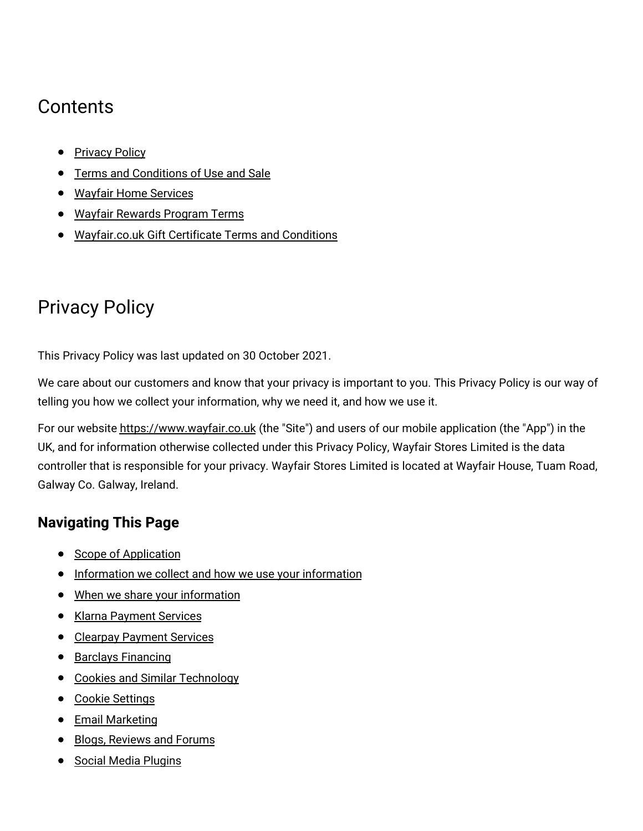# **Contents**

- [Privacy](#privacy) Policy
- **Terms and [Conditions](#terms) of Use and Sale**
- Wayfair Home [Services](#homeservices)
- Wayfair [Rewards](#rewards) Program Terms
- [Wayfair.co.uk](#gcterms) Gift Certificate Terms and Conditions

# Privacy Policy

This Privacy Policy was last updated on 30 October 2021.

We care about our customers and know that your privacy is important to you. This Privacy Policy is our way of telling you how we collect your information, why we need it, and how we use it.

For our website [https://www.wayfair.co.uk](https://www.wayfair.co.uk/) (the "Site") and users of our mobile application (the "App") in the UK, and for information otherwise collected under this Privacy Policy, Wayfair Stores Limited is the data controller that is responsible for your privacy. Wayfair Stores Limited is located at Wayfair House, Tuam Road, Galway Co. Galway, Ireland.

# **Navigating This Page**

- Scope of [Application](#scope)
- [Information](#information) we collect and how we use your information
- When we share your [information](#share)
- Klarna [Payment](#klarna_payments) Services
- Clearpay [Payment](#clearpay_payments) Services
- Barclays [Financing](#barclays_payments)
- Cookies and Similar [Technology](#cookies)
- Cookie [Settings](#settings)
- **•** Email [Marketing](#marketing)
- **Blogs, [Reviews](#public_accessible) and Forums**
- Social Media [Plugins](#social_media)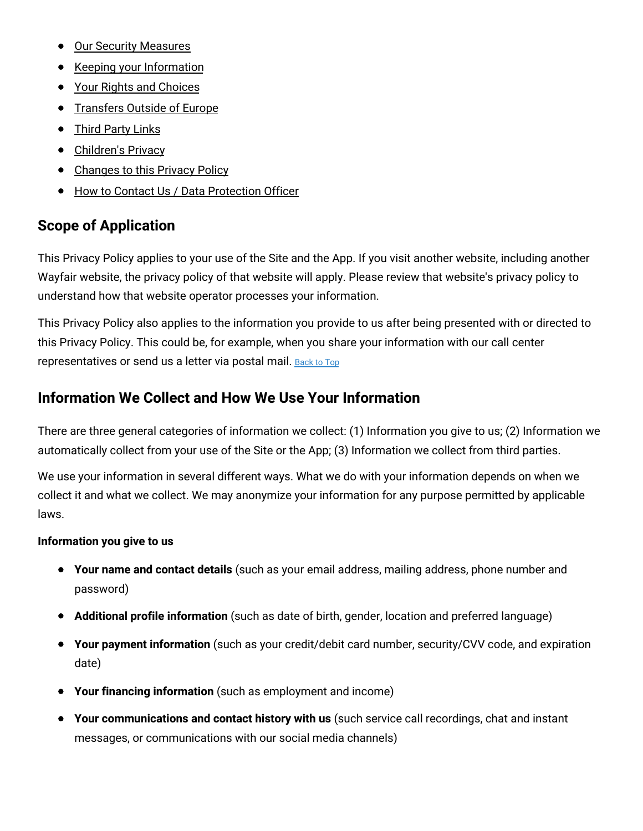- Our Security [Measures](#security_measures)
- Keeping your [Information](#keeping_information)
- Your Rights and [Choices](#rights)
- **•** [Transfers](#transfers) Outside of Europe
- Third [Party](#third_party) Links
- [Children's](#minors) Privacy
- [Changes](#changes) to this Privacy Policy
- How to Contact Us / Data [Protection](#contact_us) Officer

### **Scope of Application**

This Privacy Policy applies to your use of the Site and the App. If you visit another website, including another Wayfair website, the privacy policy of that website will apply. Please review that website's privacy policy to understand how that website operator processes your information.

This Privacy Policy also applies to the information you provide to us after being presented with or directed to this Privacy Policy. This could be, for example, when you share your information with our call center representatives or send us a letter via postal mail. [Back](#top) to Top

## **Information We Collect and How We Use Your Information**

There are three general categories of information we collect: (1) Information you give to us; (2) Information we automatically collect from your use of the Site or the App; (3) Information we collect from third parties.

We use your information in several different ways. What we do with your information depends on when we collect it and what we collect. We may anonymize your information for any purpose permitted by applicable laws.

### **Information you give to us**

- **Your name and contact details** (such as your email address, mailing address, phone number and password)
- **Additional profile information** (such as date of birth, gender, location and preferred language)
- **Your payment information** (such as your credit/debit card number, security/CVV code, and expiration date)
- **Your financing information** (such as employment and income)
- **Your communications and contact history with us** (such service call recordings, chat and instant messages, or communications with our social media channels)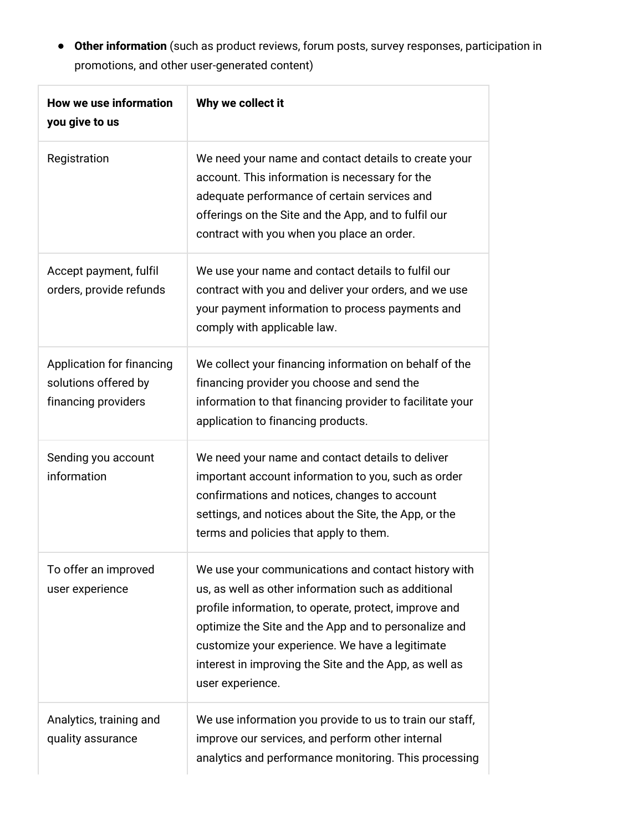**Other information** (such as product reviews, forum posts, survey responses, participation in promotions, and other user-generated content)

| <b>How we use information</b><br>you give to us                          | Why we collect it                                                                                                                                                                                                                                                                                                                                            |
|--------------------------------------------------------------------------|--------------------------------------------------------------------------------------------------------------------------------------------------------------------------------------------------------------------------------------------------------------------------------------------------------------------------------------------------------------|
| Registration                                                             | We need your name and contact details to create your<br>account. This information is necessary for the<br>adequate performance of certain services and<br>offerings on the Site and the App, and to fulfil our<br>contract with you when you place an order.                                                                                                 |
| Accept payment, fulfil<br>orders, provide refunds                        | We use your name and contact details to fulfil our<br>contract with you and deliver your orders, and we use<br>your payment information to process payments and<br>comply with applicable law.                                                                                                                                                               |
| Application for financing<br>solutions offered by<br>financing providers | We collect your financing information on behalf of the<br>financing provider you choose and send the<br>information to that financing provider to facilitate your<br>application to financing products.                                                                                                                                                      |
| Sending you account<br>information                                       | We need your name and contact details to deliver<br>important account information to you, such as order<br>confirmations and notices, changes to account<br>settings, and notices about the Site, the App, or the<br>terms and policies that apply to them.                                                                                                  |
| To offer an improved<br>user experience                                  | We use your communications and contact history with<br>us, as well as other information such as additional<br>profile information, to operate, protect, improve and<br>optimize the Site and the App and to personalize and<br>customize your experience. We have a legitimate<br>interest in improving the Site and the App, as well as<br>user experience. |
| Analytics, training and<br>quality assurance                             | We use information you provide to us to train our staff,<br>improve our services, and perform other internal<br>analytics and performance monitoring. This processing                                                                                                                                                                                        |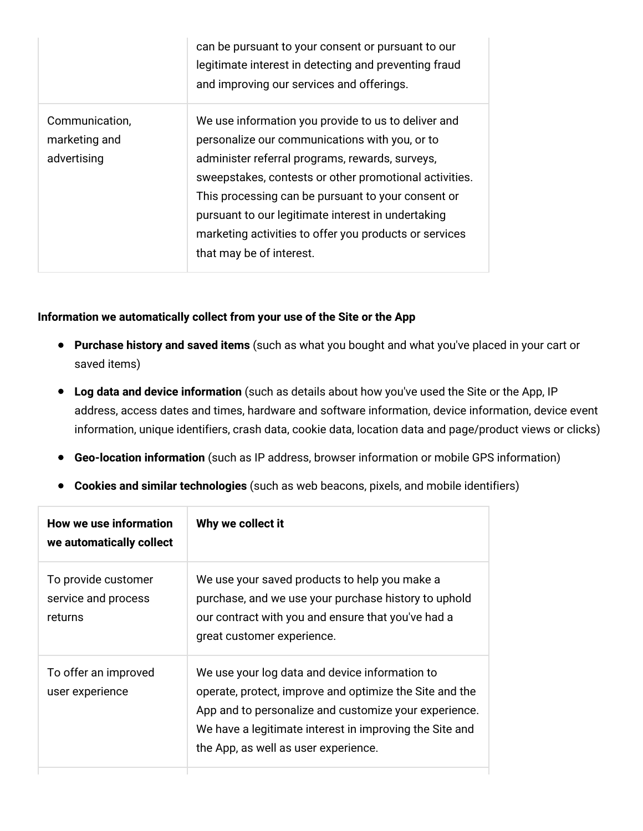|                                                | can be pursuant to your consent or pursuant to our<br>legitimate interest in detecting and preventing fraud<br>and improving our services and offerings.                                                                                                                                                                                                                                                             |
|------------------------------------------------|----------------------------------------------------------------------------------------------------------------------------------------------------------------------------------------------------------------------------------------------------------------------------------------------------------------------------------------------------------------------------------------------------------------------|
| Communication,<br>marketing and<br>advertising | We use information you provide to us to deliver and<br>personalize our communications with you, or to<br>administer referral programs, rewards, surveys,<br>sweepstakes, contests or other promotional activities.<br>This processing can be pursuant to your consent or<br>pursuant to our legitimate interest in undertaking<br>marketing activities to offer you products or services<br>that may be of interest. |

### **Information we automatically collect from your use of the Site or the App**

- **Purchase history and saved items** (such as what you bought and what you've placed in your cart or saved items)
- **Log data and device information** (such as details about how you've used the Site or the App, IP address, access dates and times, hardware and software information, device information, device event information, unique identifiers, crash data, cookie data, location data and page/product views or clicks)
- **Geo-location information** (such as IP address, browser information or mobile GPS information)
- **Cookies and similar technologies** (such as web beacons, pixels, and mobile identifiers)

| How we use information<br>we automatically collect    | Why we collect it                                                                                                                                                                                                                                                     |
|-------------------------------------------------------|-----------------------------------------------------------------------------------------------------------------------------------------------------------------------------------------------------------------------------------------------------------------------|
| To provide customer<br>service and process<br>returns | We use your saved products to help you make a<br>purchase, and we use your purchase history to uphold<br>our contract with you and ensure that you've had a<br>great customer experience.                                                                             |
| To offer an improved<br>user experience               | We use your log data and device information to<br>operate, protect, improve and optimize the Site and the<br>App and to personalize and customize your experience.<br>We have a legitimate interest in improving the Site and<br>the App, as well as user experience. |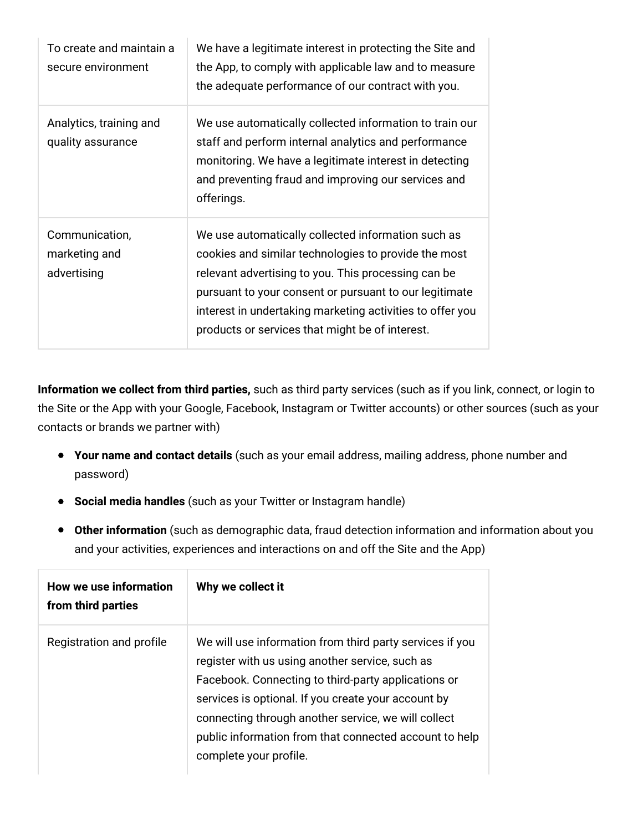| To create and maintain a<br>secure environment | We have a legitimate interest in protecting the Site and<br>the App, to comply with applicable law and to measure<br>the adequate performance of our contract with you.                                                                                                                                                                     |
|------------------------------------------------|---------------------------------------------------------------------------------------------------------------------------------------------------------------------------------------------------------------------------------------------------------------------------------------------------------------------------------------------|
| Analytics, training and<br>quality assurance   | We use automatically collected information to train our<br>staff and perform internal analytics and performance<br>monitoring. We have a legitimate interest in detecting<br>and preventing fraud and improving our services and<br>offerings.                                                                                              |
| Communication,<br>marketing and<br>advertising | We use automatically collected information such as<br>cookies and similar technologies to provide the most<br>relevant advertising to you. This processing can be<br>pursuant to your consent or pursuant to our legitimate<br>interest in undertaking marketing activities to offer you<br>products or services that might be of interest. |

**Information we collect from third parties,** such as third party services (such as if you link, connect, or login to the Site or the App with your Google, Facebook, Instagram or Twitter accounts) or other sources (such as your contacts or brands we partner with)

- **Your name and contact details** (such as your email address, mailing address, phone number and password)
- **Social media handles** (such as your Twitter or Instagram handle)
- **Other information** (such as demographic data, fraud detection information and information about you and your activities, experiences and interactions on and off the Site and the App)

| How we use information<br>from third parties | Why we collect it                                                                                                                                                                                                                                                                                                                                                    |
|----------------------------------------------|----------------------------------------------------------------------------------------------------------------------------------------------------------------------------------------------------------------------------------------------------------------------------------------------------------------------------------------------------------------------|
| Registration and profile                     | We will use information from third party services if you<br>register with us using another service, such as<br>Facebook. Connecting to third-party applications or<br>services is optional. If you create your account by<br>connecting through another service, we will collect<br>public information from that connected account to help<br>complete your profile. |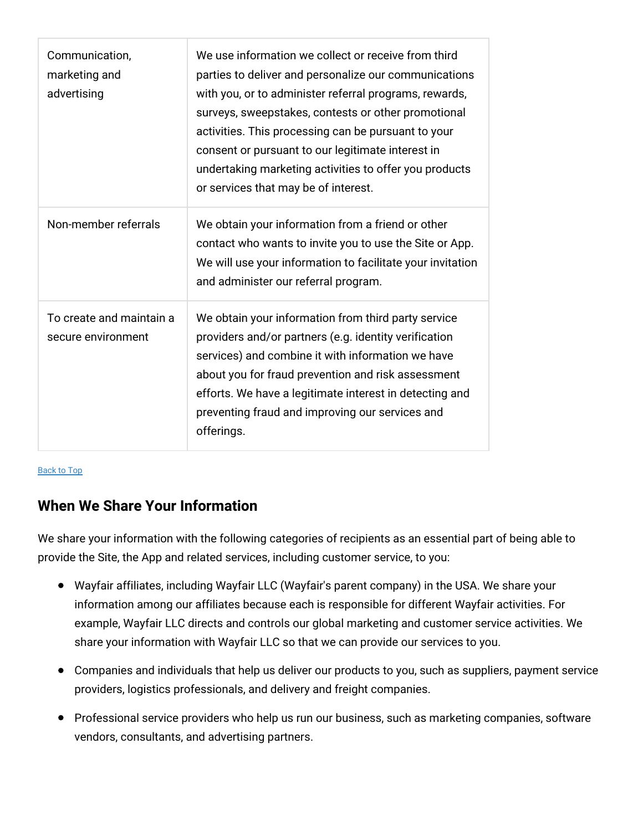| Communication,<br>marketing and<br>advertising | We use information we collect or receive from third<br>parties to deliver and personalize our communications<br>with you, or to administer referral programs, rewards,<br>surveys, sweepstakes, contests or other promotional<br>activities. This processing can be pursuant to your<br>consent or pursuant to our legitimate interest in<br>undertaking marketing activities to offer you products<br>or services that may be of interest. |
|------------------------------------------------|---------------------------------------------------------------------------------------------------------------------------------------------------------------------------------------------------------------------------------------------------------------------------------------------------------------------------------------------------------------------------------------------------------------------------------------------|
| Non-member referrals                           | We obtain your information from a friend or other<br>contact who wants to invite you to use the Site or App.<br>We will use your information to facilitate your invitation<br>and administer our referral program.                                                                                                                                                                                                                          |
| To create and maintain a<br>secure environment | We obtain your information from third party service<br>providers and/or partners (e.g. identity verification<br>services) and combine it with information we have<br>about you for fraud prevention and risk assessment<br>efforts. We have a legitimate interest in detecting and<br>preventing fraud and improving our services and<br>offerings.                                                                                         |

[Back](#top) to Top

# **When We Share Your Information**

We share your information with the following categories of recipients as an essential part of being able to provide the Site, the App and related services, including customer service, to you:

- Wayfair affiliates, including Wayfair LLC (Wayfair's parent company) in the USA. We share your information among our affiliates because each is responsible for different Wayfair activities. For example, Wayfair LLC directs and controls our global marketing and customer service activities. We share your information with Wayfair LLC so that we can provide our services to you.
- Companies and individuals that help us deliver our products to you, such as suppliers, payment service providers, logistics professionals, and delivery and freight companies.
- Professional service providers who help us run our business, such as marketing companies, software vendors, consultants, and advertising partners.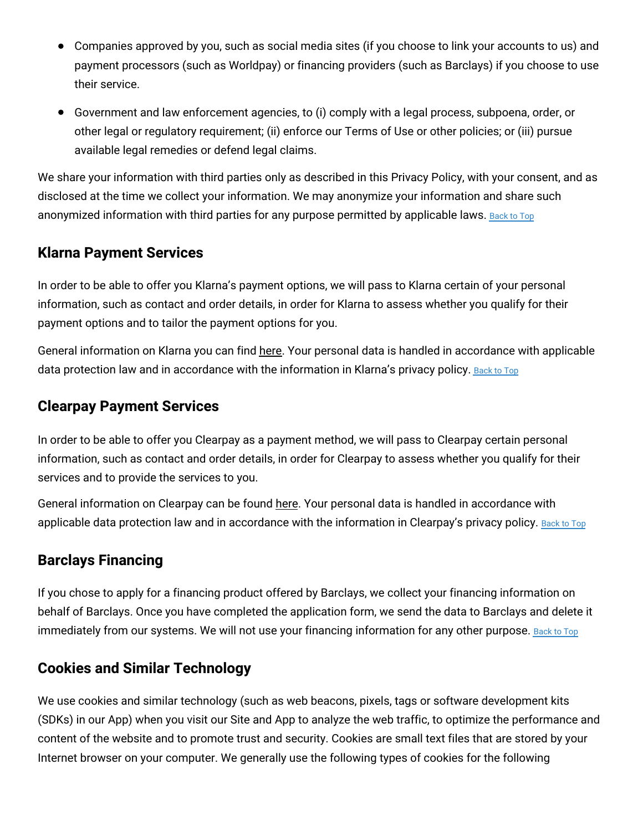- Companies approved by you, such as social media sites (if you choose to link your accounts to us) and payment processors (such as Worldpay) or financing providers (such as Barclays) if you choose to use their service.
- Government and law enforcement agencies, to (i) comply with a legal process, subpoena, order, or other legal or regulatory requirement; (ii) enforce our Terms of Use or other policies; or (iii) pursue available legal remedies or defend legal claims.

We share your information with third parties only as described in this Privacy Policy, with your consent, and as disclosed at the time we collect your information. We may anonymize your information and share such anonymized information with third parties for any purpose permitted by applicable laws. [Back](#top) to Top

### **Klarna Payment Services**

In order to be able to offer you Klarna's payment options, we will pass to Klarna certain of your personal information, such as contact and order details, in order for Klarna to assess whether you qualify for their payment options and to tailor the payment options for you.

General information on Klarna you can find [here.](https://www.klarna.com/uk/) Your personal data is handled in accordance with applicable data protection law and in accordance with the information in Klarna's privacy policy. [Back](#top) to Top

### **Clearpay Payment Services**

In order to be able to offer you Clearpay as a payment method, we will pass to Clearpay certain personal information, such as contact and order details, in order for Clearpay to assess whether you qualify for their services and to provide the services to you.

General information on Clearpay can be found [here.](https://www.clearpay.co.uk/en-GB/index) Your personal data is handled in accordance with applicable data protection law and in accordance with the information in Clearpay's privacy policy. [Back](#top) to Top

### **Barclays Financing**

If you chose to apply for a financing product offered by Barclays, we collect your financing information on behalf of Barclays. Once you have completed the application form, we send the data to Barclays and delete it immediately from our systems. We will not use your financing information for any other purpose. [Back](#top) to Top

### **Cookies and Similar Technology**

We use cookies and similar technology (such as web beacons, pixels, tags or software development kits (SDKs) in our App) when you visit our Site and App to analyze the web traffic, to optimize the performance and content of the website and to promote trust and security. Cookies are small text files that are stored by your Internet browser on your computer. We generally use the following types of cookies for the following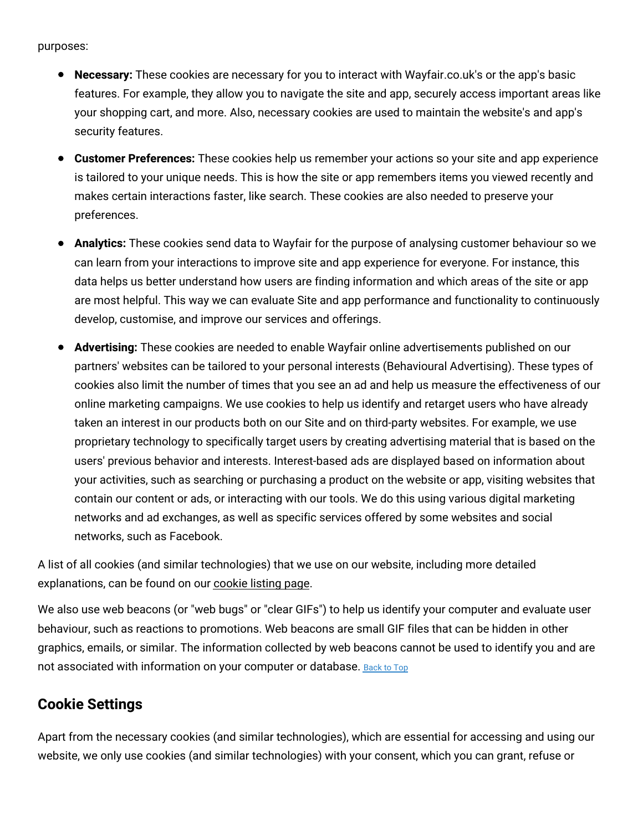purposes:

- **Necessary:** These cookies are necessary for you to interact with Wayfair.co.uk's or the app's basic features. For example, they allow you to navigate the site and app, securely access important areas like your shopping cart, and more. Also, necessary cookies are used to maintain the website's and app's security features.
- **Customer Preferences:** These cookies help us remember your actions so your site and app experience is tailored to your unique needs. This is how the site or app remembers items you viewed recently and makes certain interactions faster, like search. These cookies are also needed to preserve your preferences.
- **Analytics:** These cookies send data to Wayfair for the purpose of analysing customer behaviour so we can learn from your interactions to improve site and app experience for everyone. For instance, this data helps us better understand how users are finding information and which areas of the site or app are most helpful. This way we can evaluate Site and app performance and functionality to continuously develop, customise, and improve our services and offerings.
- **Advertising:** These cookies are needed to enable Wayfair online advertisements published on our partners' websites can be tailored to your personal interests (Behavioural Advertising). These types of cookies also limit the number of times that you see an ad and help us measure the effectiveness of our online marketing campaigns. We use cookies to help us identify and retarget users who have already taken an interest in our products both on our Site and on third-party websites. For example, we use proprietary technology to specifically target users by creating advertising material that is based on the users' previous behavior and interests. Interest-based ads are displayed based on information about your activities, such as searching or purchasing a product on the website or app, visiting websites that contain our content or ads, or interacting with our tools. We do this using various digital marketing networks and ad exchanges, as well as specific services offered by some websites and social networks, such as Facebook.

A list of all cookies (and similar technologies) that we use on our website, including more detailed explanations, can be found on our [cookie](https://terms.wayfair.io/en-UK#wfuk-cookies) listing page.

We also use web beacons (or "web bugs" or "clear GIFs") to help us identify your computer and evaluate user behaviour, such as reactions to promotions. Web beacons are small GIF files that can be hidden in other graphics, emails, or similar. The information collected by web beacons cannot be used to identify you and are not associated with information on your computer or database. [Back](#top) to Top

### **Cookie Settings**

Apart from the necessary cookies (and similar technologies), which are essential for accessing and using our website, we only use cookies (and similar technologies) with your consent, which you can grant, refuse or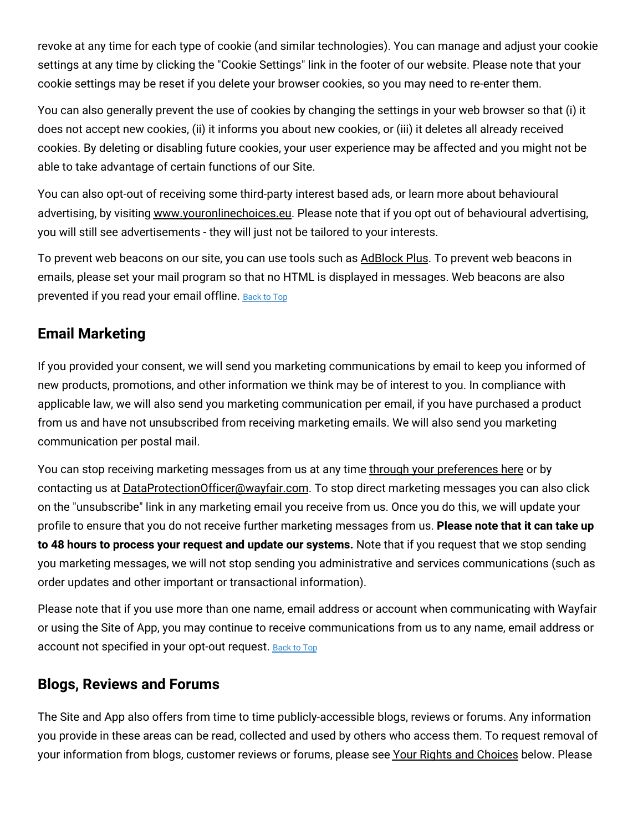revoke at any time for each type of cookie (and similar technologies). You can manage and adjust your cookie settings at any time by clicking the "Cookie Settings" link in the footer of our website. Please note that your cookie settings may be reset if you delete your browser cookies, so you may need to re-enter them.

You can also generally prevent the use of cookies by changing the settings in your web browser so that (i) it does not accept new cookies, (ii) it informs you about new cookies, or (iii) it deletes all already received cookies. By deleting or disabling future cookies, your user experience may be affected and you might not be able to take advantage of certain functions of our Site.

You can also opt-out of receiving some third-party interest based ads, or learn more about behavioural advertising, by visiting [www.youronlinechoices.eu.](http://www.youronlinechoices.eu/uk/) Please note that if you opt out of behavioural advertising, you will still see advertisements - they will just not be tailored to your interests.

To prevent web beacons on our site, you can use tools such as [AdBlock](https://adblockplus.org/chrome) Plus. To prevent web beacons in emails, please set your mail program so that no HTML is displayed in messages. Web beacons are also prevented if you read your email offline. [Back](#top) to Top

## **Email Marketing**

If you provided your consent, we will send you marketing communications by email to keep you informed of new products, promotions, and other information we think may be of interest to you. In compliance with applicable law, we will also send you marketing communication per email, if you have purchased a product from us and have not unsubscribed from receiving marketing emails. We will also send you marketing communication per postal mail.

You can stop receiving marketing messages from us at any time through your [preferences](https://www.wayfair.co.uk/v/account/email_subscriptions/manage) here or by contacting us at [DataProtectionOfficer@wayfair.com.](mailto:DataProtectionOfficer@wayfair.com) To stop direct marketing messages you can also click on the "unsubscribe" link in any marketing email you receive from us. Once you do this, we will update your profile to ensure that you do not receive further marketing messages from us. **Please note that it can take up to 48 hours to process your request and update our systems.** Note that if you request that we stop sending you marketing messages, we will not stop sending you administrative and services communications (such as order updates and other important or transactional information).

Please note that if you use more than one name, email address or account when communicating with Wayfair or using the Site of App, you may continue to receive communications from us to any name, email address or account not specified in your opt-out request. [Back](#top) to Top

### **Blogs, Reviews and Forums**

The Site and App also offers from time to time publicly-accessible blogs, reviews or forums. Any information you provide in these areas can be read, collected and used by others who access them. To request removal of your information from blogs, customer reviews or forums, please see Your Rights and [Choices](#privacy_rights) below. Please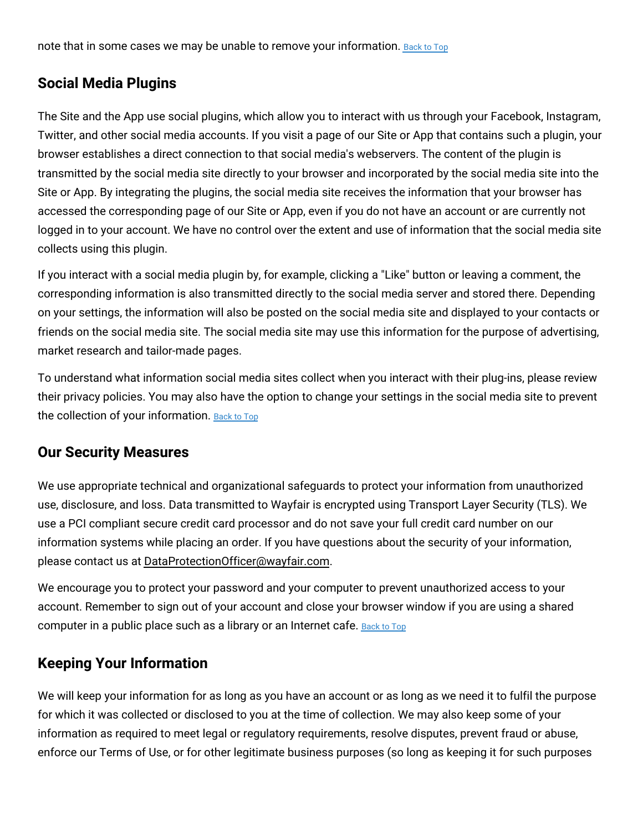note that in some cases we may be unable to remove your information. [Back](#top) to Top

# **Social Media Plugins**

The Site and the App use social plugins, which allow you to interact with us through your Facebook, Instagram, Twitter, and other social media accounts. If you visit a page of our Site or App that contains such a plugin, your browser establishes a direct connection to that social media's webservers. The content of the plugin is transmitted by the social media site directly to your browser and incorporated by the social media site into the Site or App. By integrating the plugins, the social media site receives the information that your browser has accessed the corresponding page of our Site or App, even if you do not have an account or are currently not logged in to your account. We have no control over the extent and use of information that the social media site collects using this plugin.

If you interact with a social media plugin by, for example, clicking a "Like" button or leaving a comment, the corresponding information is also transmitted directly to the social media server and stored there. Depending on your settings, the information will also be posted on the social media site and displayed to your contacts or friends on the social media site. The social media site may use this information for the purpose of advertising, market research and tailor-made pages.

To understand what information social media sites collect when you interact with their plug-ins, please review their privacy policies. You may also have the option to change your settings in the social media site to prevent the collection of your information. [Back](#top) to Top

# **Our Security Measures**

We use appropriate technical and organizational safeguards to protect your information from unauthorized use, disclosure, and loss. Data transmitted to Wayfair is encrypted using Transport Layer Security (TLS). We use a PCI compliant secure credit card processor and do not save your full credit card number on our information systems while placing an order. If you have questions about the security of your information, please contact us at [DataProtectionOfficer@wayfair.com.](mailto:DataProtectionOfficer@wayfair.com)

We encourage you to protect your password and your computer to prevent unauthorized access to your account. Remember to sign out of your account and close your browser window if you are using a shared computer in a public place such as a library or an Internet cafe. [Back](#top) to Top

# **Keeping Your Information**

We will keep your information for as long as you have an account or as long as we need it to fulfil the purpose for which it was collected or disclosed to you at the time of collection. We may also keep some of your information as required to meet legal or regulatory requirements, resolve disputes, prevent fraud or abuse, enforce our Terms of Use, or for other legitimate business purposes (so long as keeping it for such purposes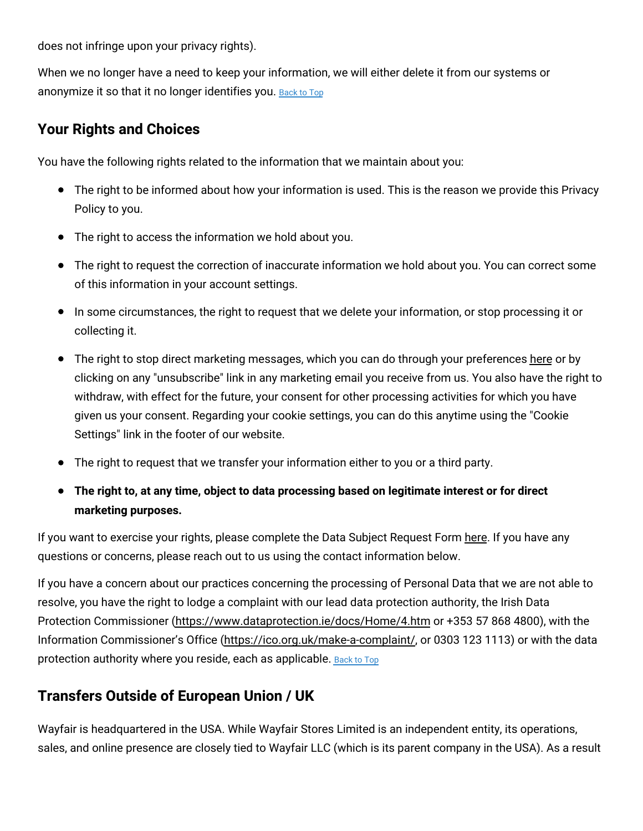does not infringe upon your privacy rights).

When we no longer have a need to keep your information, we will either delete it from our systems or anonymize it so that it no longer identifies you. [Back](#top) to Top

### **Your Rights and Choices**

You have the following rights related to the information that we maintain about you:

- The right to be informed about how your information is used. This is the reason we provide this Privacy Policy to you.
- The right to access the information we hold about you.
- The right to request the correction of inaccurate information we hold about you. You can correct some of this information in your account settings.
- In some circumstances, the right to request that we delete your information, or stop processing it or collecting it.
- The right to stop direct marketing messages, which you can do through your preferences [here](https://www.wayfair.co.uk/v/account/email_subscriptions/manage) or by clicking on any "unsubscribe" link in any marketing email you receive from us. You also have the right to withdraw, with effect for the future, your consent for other processing activities for which you have given us your consent. Regarding your cookie settings, you can do this anytime using the "Cookie Settings" link in the footer of our website.
- The right to request that we transfer your information either to you or a third party.
- **The right to, at any time, object to data processing based on legitimate interest or for direct marketing purposes.**

If you want to exercise your rights, please complete the Data Subject Request Form [here.](https://www.wayfair.co.uk/v/account/subject_access_request/index) If you have any questions or concerns, please reach out to us using the contact information below.

If you have a concern about our practices concerning the processing of Personal Data that we are not able to resolve, you have the right to lodge a complaint with our lead data protection authority, the Irish Data Protection Commissioner [\(https://www.dataprotection.ie/docs/Home/4.htm](https://www.dataprotection.ie/docs/Home/4.htm) or +353 57 868 4800), with the Information Commissioner's Office [\(https://ico.org.uk/make-a-complaint/,](https://ico.org.uk/make-a-complaint/) or 0303 123 1113) or with the data protection authority where you reside, each as applicable. [Back](#top) to Top

# **Transfers Outside of European Union / UK**

Wayfair is headquartered in the USA. While Wayfair Stores Limited is an independent entity, its operations, sales, and online presence are closely tied to Wayfair LLC (which is its parent company in the USA). As a result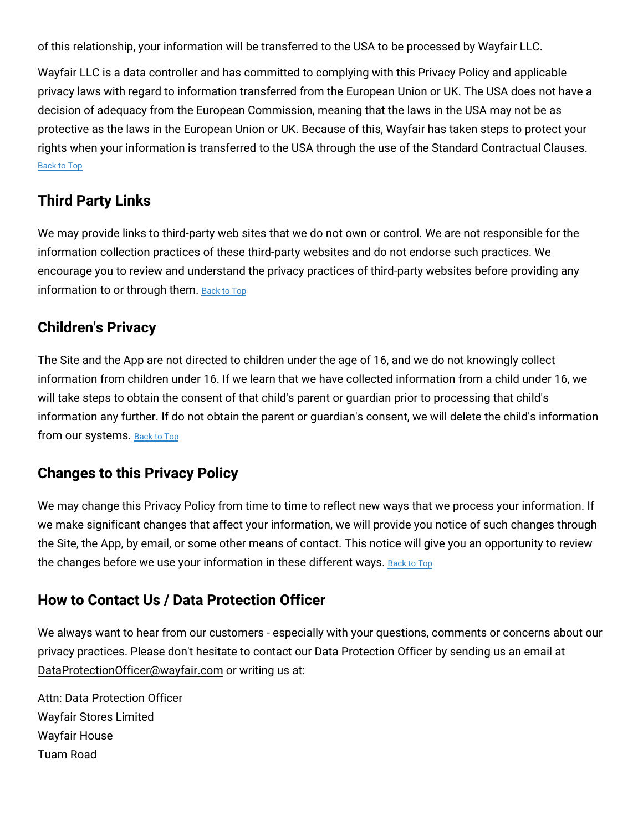of this relationship, your information will be transferred to the USA to be processed by Wayfair LLC.

Wayfair LLC is a data controller and has committed to complying with this Privacy Policy and applicable privacy laws with regard to information transferred from the European Union or UK. The USA does not have a decision of adequacy from the European Commission, meaning that the laws in the USA may not be as protective as the laws in the European Union or UK. Because of this, Wayfair has taken steps to protect your rights when your information is transferred to the USA through the use of the Standard Contractual Clauses. [Back](#top) to Top

# **Third Party Links**

We may provide links to third-party web sites that we do not own or control. We are not responsible for the information collection practices of these third-party websites and do not endorse such practices. We encourage you to review and understand the privacy practices of third-party websites before providing any information to or through them. [Back](#top) to Top

# **Children's Privacy**

The Site and the App are not directed to children under the age of 16, and we do not knowingly collect information from children under 16. If we learn that we have collected information from a child under 16, we will take steps to obtain the consent of that child's parent or guardian prior to processing that child's information any further. If do not obtain the parent or guardian's consent, we will delete the child's information from our systems. [Back](#top) to Top

# **Changes to this Privacy Policy**

We may change this Privacy Policy from time to time to reflect new ways that we process your information. If we make significant changes that affect your information, we will provide you notice of such changes through the Site, the App, by email, or some other means of contact. This notice will give you an opportunity to review the changes before we use your information in these different ways. [Back](#top) to Top

# **How to Contact Us / Data Protection Officer**

We always want to hear from our customers - especially with your questions, comments or concerns about our privacy practices. Please don't hesitate to contact our Data Protection Officer by sending us an email at [DataProtectionOfficer@wayfair.com](mailto:DataProtectionOfficer@wayfair.com) or writing us at:

Attn: Data Protection Officer Wayfair Stores Limited Wayfair House Tuam Road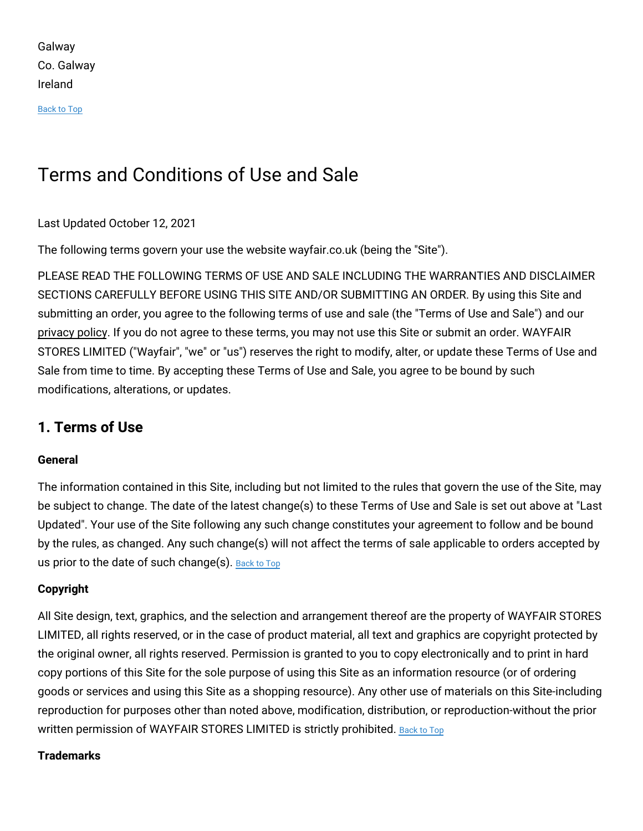Galway Co. Galway Ireland

[Back](#top) to Top

# Terms and Conditions of Use and Sale

#### Last Updated October 12, 2021

The following terms govern your use the website wayfair.co.uk (being the "Site").

PLEASE READ THE FOLLOWING TERMS OF USE AND SALE INCLUDING THE WARRANTIES AND DISCLAIMER SECTIONS CAREFULLY BEFORE USING THIS SITE AND/OR SUBMITTING AN ORDER. By using this Site and submitting an order, you agree to the following terms of use and sale (the "Terms of Use and Sale") and our [privacy](#privacy) policy. If you do not agree to these terms, you may not use this Site or submit an order. WAYFAIR STORES LIMITED ("Wayfair", "we" or "us") reserves the right to modify, alter, or update these Terms of Use and Sale from time to time. By accepting these Terms of Use and Sale, you agree to be bound by such modifications, alterations, or updates.

### **1. Terms of Use**

#### **General**

The information contained in this Site, including but not limited to the rules that govern the use of the Site, may be subject to change. The date of the latest change(s) to these Terms of Use and Sale is set out above at "Last Updated". Your use of the Site following any such change constitutes your agreement to follow and be bound by the rules, as changed. Any such change(s) will not affect the terms of sale applicable to orders accepted by us prior to the date of such change(s). [Back](#top) to Top

### **Copyright**

All Site design, text, graphics, and the selection and arrangement thereof are the property of WAYFAIR STORES LIMITED, all rights reserved, or in the case of product material, all text and graphics are copyright protected by the original owner, all rights reserved. Permission is granted to you to copy electronically and to print in hard copy portions of this Site for the sole purpose of using this Site as an information resource (or of ordering goods or services and using this Site as a shopping resource). Any other use of materials on this Site-including reproduction for purposes other than noted above, modification, distribution, or reproduction-without the prior written permission of WAYFAIR STORES LIMITED is strictly prohibited. [Back](#top) to Top

#### **Trademarks**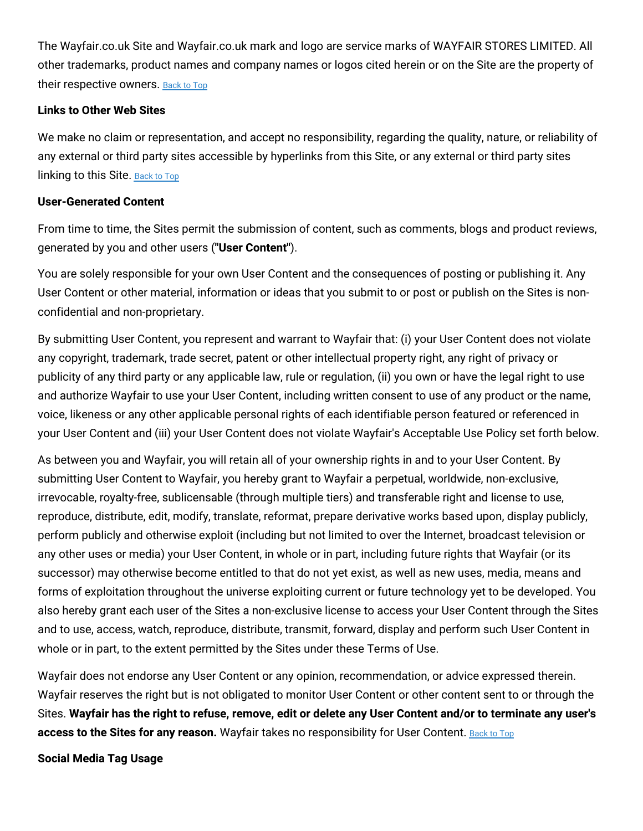The Wayfair.co.uk Site and Wayfair.co.uk mark and logo are service marks of WAYFAIR STORES LIMITED. All other trademarks, product names and company names or logos cited herein or on the Site are the property of their respective owners. [Back](#top) to Top

#### **Links to Other Web Sites**

We make no claim or representation, and accept no responsibility, regarding the quality, nature, or reliability of any external or third party sites accessible by hyperlinks from this Site, or any external or third party sites linking to this Site. [Back](#top) to Top

#### **User-Generated Content**

From time to time, the Sites permit the submission of content, such as comments, blogs and product reviews, generated by you and other users (**"User Content"**).

You are solely responsible for your own User Content and the consequences of posting or publishing it. Any User Content or other material, information or ideas that you submit to or post or publish on the Sites is nonconfidential and non-proprietary.

By submitting User Content, you represent and warrant to Wayfair that: (i) your User Content does not violate any copyright, trademark, trade secret, patent or other intellectual property right, any right of privacy or publicity of any third party or any applicable law, rule or regulation, (ii) you own or have the legal right to use and authorize Wayfair to use your User Content, including written consent to use of any product or the name, voice, likeness or any other applicable personal rights of each identifiable person featured or referenced in your User Content and (iii) your User Content does not violate Wayfair's Acceptable Use Policy set forth below.

As between you and Wayfair, you will retain all of your ownership rights in and to your User Content. By submitting User Content to Wayfair, you hereby grant to Wayfair a perpetual, worldwide, non-exclusive, irrevocable, royalty-free, sublicensable (through multiple tiers) and transferable right and license to use, reproduce, distribute, edit, modify, translate, reformat, prepare derivative works based upon, display publicly, perform publicly and otherwise exploit (including but not limited to over the Internet, broadcast television or any other uses or media) your User Content, in whole or in part, including future rights that Wayfair (or its successor) may otherwise become entitled to that do not yet exist, as well as new uses, media, means and forms of exploitation throughout the universe exploiting current or future technology yet to be developed. You also hereby grant each user of the Sites a non-exclusive license to access your User Content through the Sites and to use, access, watch, reproduce, distribute, transmit, forward, display and perform such User Content in whole or in part, to the extent permitted by the Sites under these Terms of Use.

Wayfair does not endorse any User Content or any opinion, recommendation, or advice expressed therein. Wayfair reserves the right but is not obligated to monitor User Content or other content sent to or through the Sites. Wayfair has the right to refuse, remove, edit or delete any User Content and/or to terminate any user's **access to the Sites for any reason.** Wayfair takes no responsibility for User Content. [Back](#top) to Top

**Social Media Tag Usage**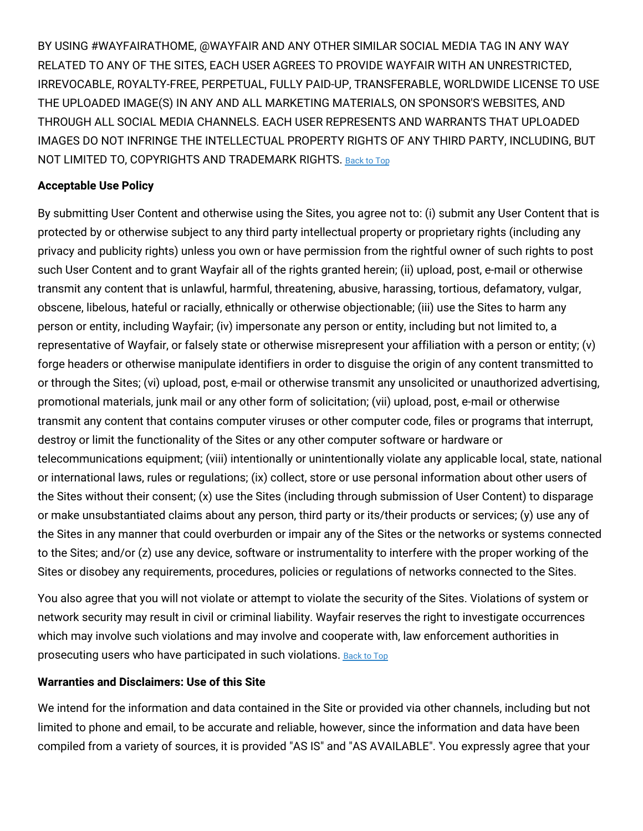BY USING #WAYFAIRATHOME, @WAYFAIR AND ANY OTHER SIMILAR SOCIAL MEDIA TAG IN ANY WAY RELATED TO ANY OF THE SITES, EACH USER AGREES TO PROVIDE WAYFAIR WITH AN UNRESTRICTED, IRREVOCABLE, ROYALTY-FREE, PERPETUAL, FULLY PAID-UP, TRANSFERABLE, WORLDWIDE LICENSE TO USE THE UPLOADED IMAGE(S) IN ANY AND ALL MARKETING MATERIALS, ON SPONSOR'S WEBSITES, AND THROUGH ALL SOCIAL MEDIA CHANNELS. EACH USER REPRESENTS AND WARRANTS THAT UPLOADED IMAGES DO NOT INFRINGE THE INTELLECTUAL PROPERTY RIGHTS OF ANY THIRD PARTY, INCLUDING, BUT NOT LIMITED TO, COPYRIGHTS AND TRADEMARK RIGHTS. [Back](#top) to Top

#### **Acceptable Use Policy**

By submitting User Content and otherwise using the Sites, you agree not to: (i) submit any User Content that is protected by or otherwise subject to any third party intellectual property or proprietary rights (including any privacy and publicity rights) unless you own or have permission from the rightful owner of such rights to post such User Content and to grant Wayfair all of the rights granted herein; (ii) upload, post, e-mail or otherwise transmit any content that is unlawful, harmful, threatening, abusive, harassing, tortious, defamatory, vulgar, obscene, libelous, hateful or racially, ethnically or otherwise objectionable; (iii) use the Sites to harm any person or entity, including Wayfair; (iv) impersonate any person or entity, including but not limited to, a representative of Wayfair, or falsely state or otherwise misrepresent your affiliation with a person or entity; (v) forge headers or otherwise manipulate identifiers in order to disguise the origin of any content transmitted to or through the Sites; (vi) upload, post, e-mail or otherwise transmit any unsolicited or unauthorized advertising, promotional materials, junk mail or any other form of solicitation; (vii) upload, post, e-mail or otherwise transmit any content that contains computer viruses or other computer code, files or programs that interrupt, destroy or limit the functionality of the Sites or any other computer software or hardware or telecommunications equipment; (viii) intentionally or unintentionally violate any applicable local, state, national or international laws, rules or regulations; (ix) collect, store or use personal information about other users of the Sites without their consent; (x) use the Sites (including through submission of User Content) to disparage or make unsubstantiated claims about any person, third party or its/their products or services; (y) use any of the Sites in any manner that could overburden or impair any of the Sites or the networks or systems connected to the Sites; and/or (z) use any device, software or instrumentality to interfere with the proper working of the Sites or disobey any requirements, procedures, policies or regulations of networks connected to the Sites.

You also agree that you will not violate or attempt to violate the security of the Sites. Violations of system or network security may result in civil or criminal liability. Wayfair reserves the right to investigate occurrences which may involve such violations and may involve and cooperate with, law enforcement authorities in prosecuting users who have participated in such violations. [Back](#top) to Top

#### **Warranties and Disclaimers: Use of this Site**

We intend for the information and data contained in the Site or provided via other channels, including but not limited to phone and email, to be accurate and reliable, however, since the information and data have been compiled from a variety of sources, it is provided "AS IS" and "AS AVAILABLE". You expressly agree that your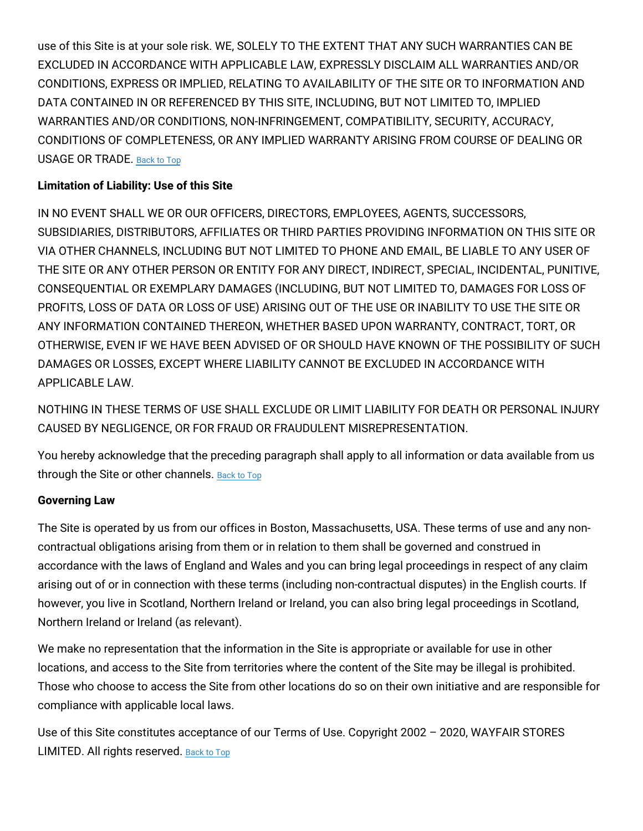use of this Site is at your sole risk. WE, SOLELY TO THE EXTENT THAT ANY SUCH WARRANTIES CAN BE EXCLUDED IN ACCORDANCE WITH APPLICABLE LAW, EXPRESSLY DISCLAIM ALL WARRANTIES AND/OR CONDITIONS, EXPRESS OR IMPLIED, RELATING TO AVAILABILITY OF THE SITE OR TO INFORMATION AND DATA CONTAINED IN OR REFERENCED BY THIS SITE, INCLUDING, BUT NOT LIMITED TO, IMPLIED WARRANTIES AND/OR CONDITIONS, NON-INFRINGEMENT, COMPATIBILITY, SECURITY, ACCURACY, CONDITIONS OF COMPLETENESS, OR ANY IMPLIED WARRANTY ARISING FROM COURSE OF DEALING OR USAGE OR TRADE. [Back](#top) to Top

### **Limitation of Liability: Use of this Site**

IN NO EVENT SHALL WE OR OUR OFFICERS, DIRECTORS, EMPLOYEES, AGENTS, SUCCESSORS, SUBSIDIARIES, DISTRIBUTORS, AFFILIATES OR THIRD PARTIES PROVIDING INFORMATION ON THIS SITE OR VIA OTHER CHANNELS, INCLUDING BUT NOT LIMITED TO PHONE AND EMAIL, BE LIABLE TO ANY USER OF THE SITE OR ANY OTHER PERSON OR ENTITY FOR ANY DIRECT, INDIRECT, SPECIAL, INCIDENTAL, PUNITIVE, CONSEQUENTIAL OR EXEMPLARY DAMAGES (INCLUDING, BUT NOT LIMITED TO, DAMAGES FOR LOSS OF PROFITS, LOSS OF DATA OR LOSS OF USE) ARISING OUT OF THE USE OR INABILITY TO USE THE SITE OR ANY INFORMATION CONTAINED THEREON, WHETHER BASED UPON WARRANTY, CONTRACT, TORT, OR OTHERWISE, EVEN IF WE HAVE BEEN ADVISED OF OR SHOULD HAVE KNOWN OF THE POSSIBILITY OF SUCH DAMAGES OR LOSSES, EXCEPT WHERE LIABILITY CANNOT BE EXCLUDED IN ACCORDANCE WITH APPLICABLE LAW.

NOTHING IN THESE TERMS OF USE SHALL EXCLUDE OR LIMIT LIABILITY FOR DEATH OR PERSONAL INJURY CAUSED BY NEGLIGENCE, OR FOR FRAUD OR FRAUDULENT MISREPRESENTATION.

You hereby acknowledge that the preceding paragraph shall apply to all information or data available from us through the Site or other channels. [Back](#top) to Top

### **Governing Law**

The Site is operated by us from our offices in Boston, Massachusetts, USA. These terms of use and any noncontractual obligations arising from them or in relation to them shall be governed and construed in accordance with the laws of England and Wales and you can bring legal proceedings in respect of any claim arising out of or in connection with these terms (including non-contractual disputes) in the English courts. If however, you live in Scotland, Northern Ireland or Ireland, you can also bring legal proceedings in Scotland, Northern Ireland or Ireland (as relevant).

We make no representation that the information in the Site is appropriate or available for use in other locations, and access to the Site from territories where the content of the Site may be illegal is prohibited. Those who choose to access the Site from other locations do so on their own initiative and are responsible for compliance with applicable local laws.

Use of this Site constitutes acceptance of our Terms of Use. Copyright 2002 – 2020, WAYFAIR STORES LIMITED. All rights reserved. [Back](#top) to Top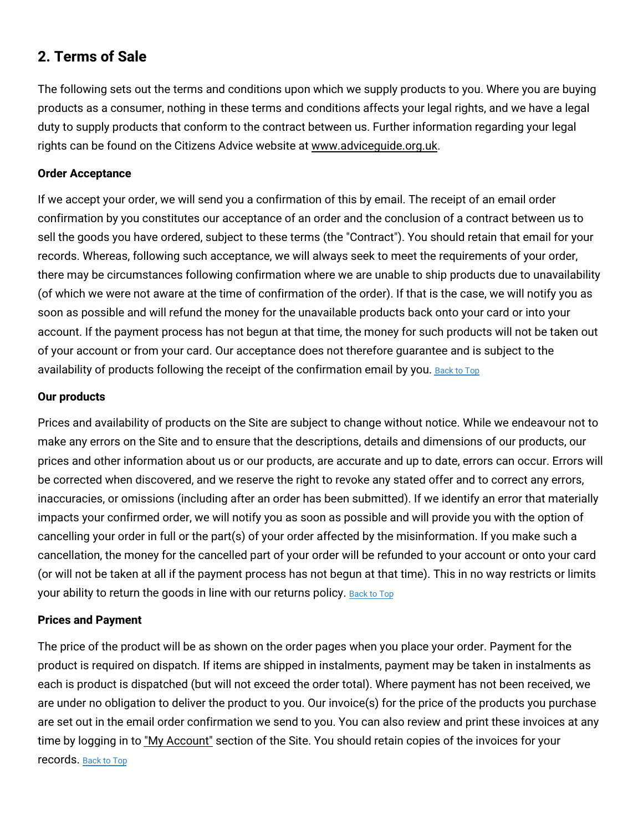# **2. Terms of Sale**

The following sets out the terms and conditions upon which we supply products to you. Where you are buying products as a consumer, nothing in these terms and conditions affects your legal rights, and we have a legal duty to supply products that conform to the contract between us. Further information regarding your legal rights can be found on the Citizens Advice website at [www.adviceguide.org.uk.](http://adviceguide.org.uk/)

### **Order Acceptance**

If we accept your order, we will send you a confirmation of this by email. The receipt of an email order confirmation by you constitutes our acceptance of an order and the conclusion of a contract between us to sell the goods you have ordered, subject to these terms (the "Contract"). You should retain that email for your records. Whereas, following such acceptance, we will always seek to meet the requirements of your order, there may be circumstances following confirmation where we are unable to ship products due to unavailability (of which we were not aware at the time of confirmation of the order). If that is the case, we will notify you as soon as possible and will refund the money for the unavailable products back onto your card or into your account. If the payment process has not begun at that time, the money for such products will not be taken out of your account or from your card. Our acceptance does not therefore guarantee and is subject to the availability of products following the receipt of the confirmation email by you. [Back](#top) to Top

#### **Our products**

Prices and availability of products on the Site are subject to change without notice. While we endeavour not to make any errors on the Site and to ensure that the descriptions, details and dimensions of our products, our prices and other information about us or our products, are accurate and up to date, errors can occur. Errors will be corrected when discovered, and we reserve the right to revoke any stated offer and to correct any errors, inaccuracies, or omissions (including after an order has been submitted). If we identify an error that materially impacts your confirmed order, we will notify you as soon as possible and will provide you with the option of cancelling your order in full or the part(s) of your order affected by the misinformation. If you make such a cancellation, the money for the cancelled part of your order will be refunded to your account or onto your card (or will not be taken at all if the payment process has not begun at that time). This in no way restricts or limits your ability to return the goods in line with our returns policy. [Back](#top) to Top

### **Prices and Payment**

The price of the product will be as shown on the order pages when you place your order. Payment for the product is required on dispatch. If items are shipped in instalments, payment may be taken in instalments as each is product is dispatched (but will not exceed the order total). Where payment has not been received, we are under no obligation to deliver the product to you. Our invoice(s) for the price of the products you purchase are set out in the email order confirmation we send to you. You can also review and print these invoices at any time by logging in to "My [Account"](https://www.wayfair.co.uk/v/account/welcome/show) section of the Site. You should retain copies of the invoices for your records. [Back](#top) to Top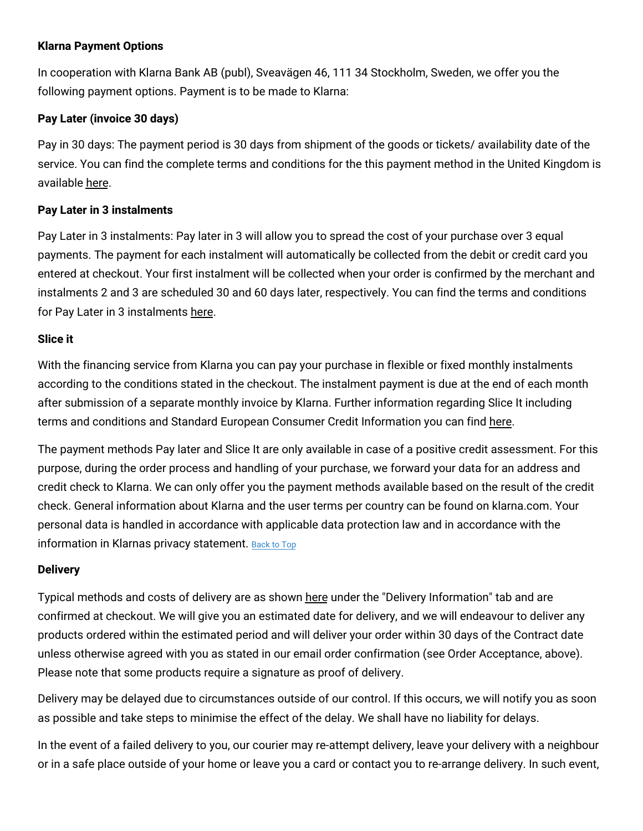### **Klarna Payment Options**

In cooperation with Klarna Bank AB (publ), Sveavägen 46, 111 34 Stockholm, Sweden, we offer you the following payment options. Payment is to be made to Klarna:

### **Pay Later (invoice 30 days)**

Pay in 30 days: The payment period is 30 days from shipment of the goods or tickets/ availability date of the service. You can find the complete terms and conditions for the this payment method in the United Kingdom is available [here.](https://cdn.klarna.com/1.0/shared/content/legal/terms/0/en_gb/pay_after_delivery)

### **Pay Later in 3 instalments**

Pay Later in 3 instalments: Pay later in 3 will allow you to spread the cost of your purchase over 3 equal payments. The payment for each instalment will automatically be collected from the debit or credit card you entered at checkout. Your first instalment will be collected when your order is confirmed by the merchant and instalments 2 and 3 are scheduled 30 and 60 days later, respectively. You can find the terms and conditions for Pay Later in 3 instalments [here.](https://cdn.klarna.com/1.0/shared/content/legal/terms/0/en_gb/slice_it_card)

#### **Slice it**

With the financing service from Klarna you can pay your purchase in flexible or fixed monthly instalments according to the conditions stated in the checkout. The instalment payment is due at the end of each month after submission of a separate monthly invoice by Klarna. Further information regarding Slice It including terms and conditions and Standard European Consumer Credit Information you can find [here.](https://cdn.klarna.com/1.0/shared/content/legal/terms/0/en_gb/account_agreement)

The payment methods Pay later and Slice It are only available in case of a positive credit assessment. For this purpose, during the order process and handling of your purchase, we forward your data for an address and credit check to Klarna. We can only offer you the payment methods available based on the result of the credit check. General information about Klarna and the user terms per country can be found on klarna.com. Your personal data is handled in accordance with applicable data protection law and in accordance with the information in Klarnas privacy statement. [Back](#top) to Top

### **Delivery**

Typical methods and costs of delivery are as shown [here](https://www.wayfair.co.uk/help/article/delivery_info) under the "Delivery Information" tab and are confirmed at checkout. We will give you an estimated date for delivery, and we will endeavour to deliver any products ordered within the estimated period and will deliver your order within 30 days of the Contract date unless otherwise agreed with you as stated in our email order confirmation (see Order Acceptance, above). Please note that some products require a signature as proof of delivery.

Delivery may be delayed due to circumstances outside of our control. If this occurs, we will notify you as soon as possible and take steps to minimise the effect of the delay. We shall have no liability for delays.

In the event of a failed delivery to you, our courier may re-attempt delivery, leave your delivery with a neighbour or in a safe place outside of your home or leave you a card or contact you to re-arrange delivery. In such event,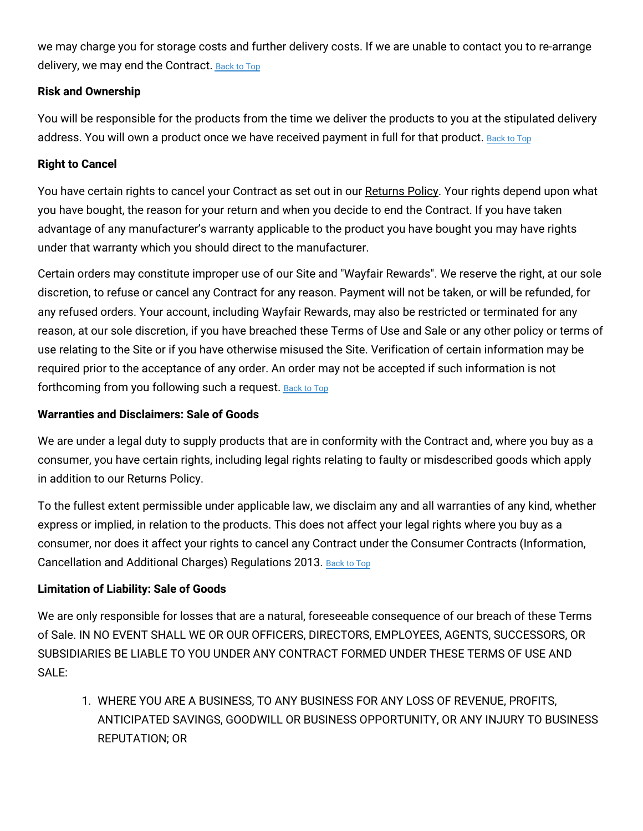we may charge you for storage costs and further delivery costs. If we are unable to contact you to re-arrange delivery, we may end the Contract. [Back](#top) to Top

### **Risk and Ownership**

You will be responsible for the products from the time we deliver the products to you at the stipulated delivery address. You will own a product once we have received payment in full for that product. [Back](#top) to Top

### **Right to Cancel**

You have certain rights to cancel your Contract as set out in our [Returns](https://www.wayfair.co.uk/help/article/return_policy) Policy. Your rights depend upon what you have bought, the reason for your return and when you decide to end the Contract. If you have taken advantage of any manufacturer's warranty applicable to the product you have bought you may have rights under that warranty which you should direct to the manufacturer.

Certain orders may constitute improper use of our Site and "Wayfair Rewards". We reserve the right, at our sole discretion, to refuse or cancel any Contract for any reason. Payment will not be taken, or will be refunded, for any refused orders. Your account, including Wayfair Rewards, may also be restricted or terminated for any reason, at our sole discretion, if you have breached these Terms of Use and Sale or any other policy or terms of use relating to the Site or if you have otherwise misused the Site. Verification of certain information may be required prior to the acceptance of any order. An order may not be accepted if such information is not forthcoming from you following such a request. [Back](#top) to Top

### **Warranties and Disclaimers: Sale of Goods**

We are under a legal duty to supply products that are in conformity with the Contract and, where you buy as a consumer, you have certain rights, including legal rights relating to faulty or misdescribed goods which apply in addition to our Returns Policy.

To the fullest extent permissible under applicable law, we disclaim any and all warranties of any kind, whether express or implied, in relation to the products. This does not affect your legal rights where you buy as a consumer, nor does it affect your rights to cancel any Contract under the Consumer Contracts (Information, Cancellation and Additional Charges) Regulations 2013. [Back](#top) to Top

### **Limitation of Liability: Sale of Goods**

We are only responsible for losses that are a natural, foreseeable consequence of our breach of these Terms of Sale. IN NO EVENT SHALL WE OR OUR OFFICERS, DIRECTORS, EMPLOYEES, AGENTS, SUCCESSORS, OR SUBSIDIARIES BE LIABLE TO YOU UNDER ANY CONTRACT FORMED UNDER THESE TERMS OF USE AND SALE:

1. WHERE YOU ARE A BUSINESS, TO ANY BUSINESS FOR ANY LOSS OF REVENUE, PROFITS, ANTICIPATED SAVINGS, GOODWILL OR BUSINESS OPPORTUNITY, OR ANY INJURY TO BUSINESS REPUTATION; OR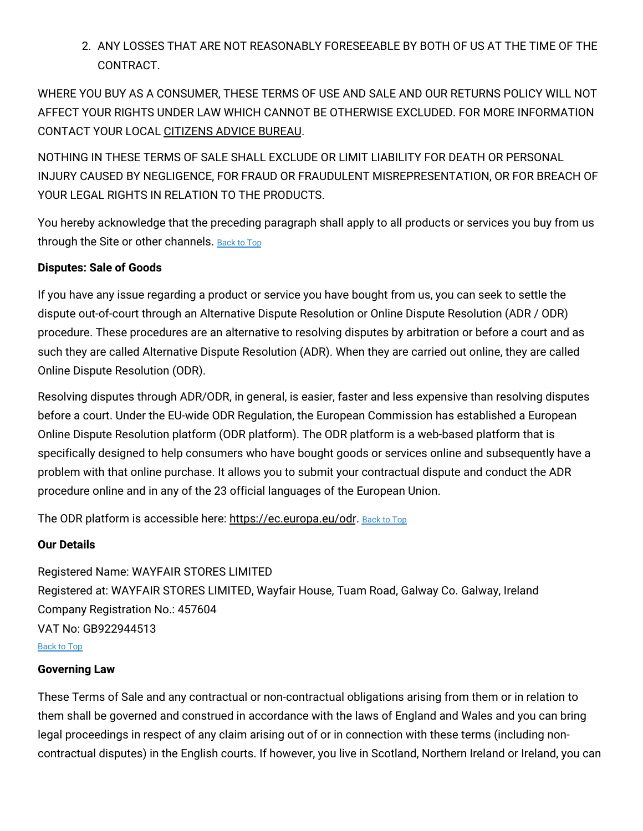2. ANY LOSSES THAT ARE NOT REASONABLY FORESEEABLE BY BOTH OF US AT THE TIME OF THE CONTRACT.

WHERE YOU BUY AS A CONSUMER, THESE TERMS OF USE AND SALE AND OUR RETURNS POLICY WILL NOT AFFECT YOUR RIGHTS UNDER LAW WHICH CANNOT BE OTHERWISE EXCLUDED. FOR MORE INFORMATION CONTACT YOUR LOCAL [CITIZENS](https://www.citizensadvice.org.uk/) ADVICE BUREAU.

NOTHING IN THESE TERMS OF SALE SHALL EXCLUDE OR LIMIT LIABILITY FOR DEATH OR PERSONAL INJURY CAUSED BY NEGLIGENCE, FOR FRAUD OR FRAUDULENT MISREPRESENTATION, OR FOR BREACH OF YOUR LEGAL RIGHTS IN RELATION TO THE PRODUCTS.

You hereby acknowledge that the preceding paragraph shall apply to all products or services you buy from us through the Site or other channels. [Back](#top) to Top

### **Disputes: Sale of Goods**

If you have any issue regarding a product or service you have bought from us, you can seek to settle the dispute out-of-court through an Alternative Dispute Resolution or Online Dispute Resolution (ADR / ODR) procedure. These procedures are an alternative to resolving disputes by arbitration or before a court and as such they are called Alternative Dispute Resolution (ADR). When they are carried out online, they are called Online Dispute Resolution (ODR).

Resolving disputes through ADR/ODR, in general, is easier, faster and less expensive than resolving disputes before a court. Under the EU-wide ODR Regulation, the European Commission has established a European Online Dispute Resolution platform (ODR platform). The ODR platform is a web-based platform that is specifically designed to help consumers who have bought goods or services online and subsequently have a problem with that online purchase. It allows you to submit your contractual dispute and conduct the ADR procedure online and in any of the 23 official languages of the European Union.

The ODR platform is accessible here: <https://ec.europa.eu/odr.> [Back](#top) to Top

### **Our Details**

Registered Name: WAYFAIR STORES LIMITED Registered at: WAYFAIR STORES LIMITED, Wayfair House, Tuam Road, Galway Co. Galway, Ireland Company Registration No.: 457604 VAT No: GB922944513 [Back](#top) to Top

### **Governing Law**

These Terms of Sale and any contractual or non-contractual obligations arising from them or in relation to them shall be governed and construed in accordance with the laws of England and Wales and you can bring legal proceedings in respect of any claim arising out of or in connection with these terms (including noncontractual disputes) in the English courts. If however, you live in Scotland, Northern Ireland or Ireland, you can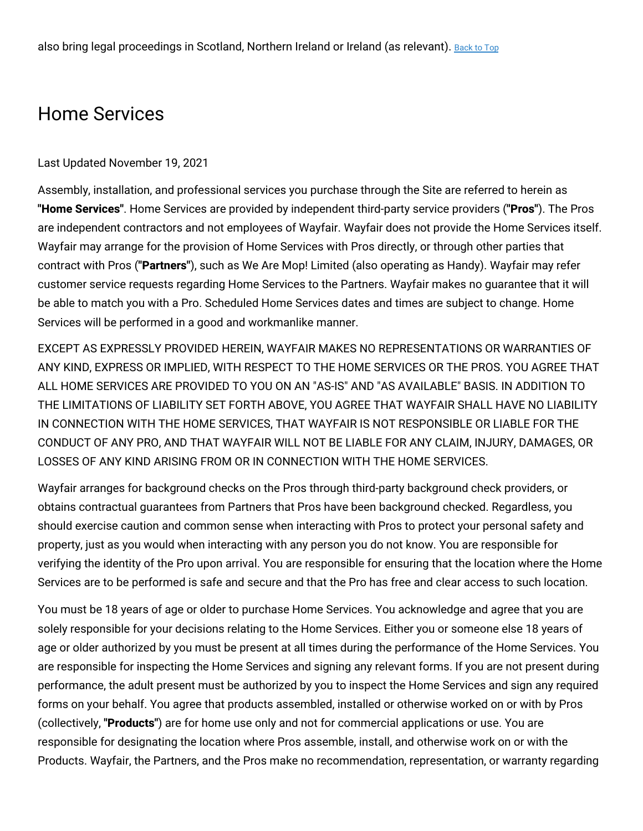# Home Services

#### Last Updated November 19, 2021

Assembly, installation, and professional services you purchase through the Site are referred to herein as **"Home Services"**. Home Services are provided by independent third-party service providers (**"Pros"**). The Pros are independent contractors and not employees of Wayfair. Wayfair does not provide the Home Services itself. Wayfair may arrange for the provision of Home Services with Pros directly, or through other parties that contract with Pros (**"Partners"**), such as We Are Mop! Limited (also operating as Handy). Wayfair may refer customer service requests regarding Home Services to the Partners. Wayfair makes no guarantee that it will be able to match you with a Pro. Scheduled Home Services dates and times are subject to change. Home Services will be performed in a good and workmanlike manner.

EXCEPT AS EXPRESSLY PROVIDED HEREIN, WAYFAIR MAKES NO REPRESENTATIONS OR WARRANTIES OF ANY KIND, EXPRESS OR IMPLIED, WITH RESPECT TO THE HOME SERVICES OR THE PROS. YOU AGREE THAT ALL HOME SERVICES ARE PROVIDED TO YOU ON AN "AS-IS" AND "AS AVAILABLE" BASIS. IN ADDITION TO THE LIMITATIONS OF LIABILITY SET FORTH ABOVE, YOU AGREE THAT WAYFAIR SHALL HAVE NO LIABILITY IN CONNECTION WITH THE HOME SERVICES, THAT WAYFAIR IS NOT RESPONSIBLE OR LIABLE FOR THE CONDUCT OF ANY PRO, AND THAT WAYFAIR WILL NOT BE LIABLE FOR ANY CLAIM, INJURY, DAMAGES, OR LOSSES OF ANY KIND ARISING FROM OR IN CONNECTION WITH THE HOME SERVICES.

Wayfair arranges for background checks on the Pros through third-party background check providers, or obtains contractual guarantees from Partners that Pros have been background checked. Regardless, you should exercise caution and common sense when interacting with Pros to protect your personal safety and property, just as you would when interacting with any person you do not know. You are responsible for verifying the identity of the Pro upon arrival. You are responsible for ensuring that the location where the Home Services are to be performed is safe and secure and that the Pro has free and clear access to such location.

You must be 18 years of age or older to purchase Home Services. You acknowledge and agree that you are solely responsible for your decisions relating to the Home Services. Either you or someone else 18 years of age or older authorized by you must be present at all times during the performance of the Home Services. You are responsible for inspecting the Home Services and signing any relevant forms. If you are not present during performance, the adult present must be authorized by you to inspect the Home Services and sign any required forms on your behalf. You agree that products assembled, installed or otherwise worked on or with by Pros (collectively, **"Products"**) are for home use only and not for commercial applications or use. You are responsible for designating the location where Pros assemble, install, and otherwise work on or with the Products. Wayfair, the Partners, and the Pros make no recommendation, representation, or warranty regarding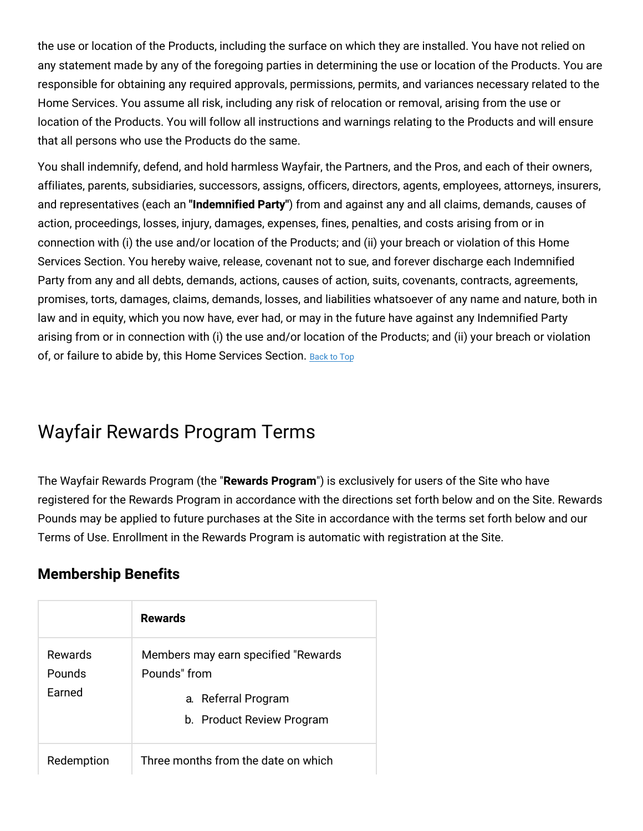the use or location of the Products, including the surface on which they are installed. You have not relied on any statement made by any of the foregoing parties in determining the use or location of the Products. You are responsible for obtaining any required approvals, permissions, permits, and variances necessary related to the Home Services. You assume all risk, including any risk of relocation or removal, arising from the use or location of the Products. You will follow all instructions and warnings relating to the Products and will ensure that all persons who use the Products do the same.

You shall indemnify, defend, and hold harmless Wayfair, the Partners, and the Pros, and each of their owners, affiliates, parents, subsidiaries, successors, assigns, officers, directors, agents, employees, attorneys, insurers, and representatives (each an **"Indemnified Party"**) from and against any and all claims, demands, causes of action, proceedings, losses, injury, damages, expenses, fines, penalties, and costs arising from or in connection with (i) the use and/or location of the Products; and (ii) your breach or violation of this Home Services Section. You hereby waive, release, covenant not to sue, and forever discharge each Indemnified Party from any and all debts, demands, actions, causes of action, suits, covenants, contracts, agreements, promises, torts, damages, claims, demands, losses, and liabilities whatsoever of any name and nature, both in law and in equity, which you now have, ever had, or may in the future have against any Indemnified Party arising from or in connection with (i) the use and/or location of the Products; and (ii) your breach or violation of, or failure to abide by, this Home Services Section. [Back](#top) to Top

# Wayfair Rewards Program Terms

The Wayfair Rewards Program (the "**Rewards Program**") is exclusively for users of the Site who have registered for the Rewards Program in accordance with the directions set forth below and on the Site. Rewards Pounds may be applied to future purchases at the Site in accordance with the terms set forth below and our Terms of Use. Enrollment in the Rewards Program is automatic with registration at the Site.

### **Membership Benefits**

|                             | <b>Rewards</b>                                                                                           |
|-----------------------------|----------------------------------------------------------------------------------------------------------|
| Rewards<br>Pounds<br>Earned | Members may earn specified "Rewards"<br>Pounds" from<br>a. Referral Program<br>b. Product Review Program |
| Redemption                  | Three months from the date on which                                                                      |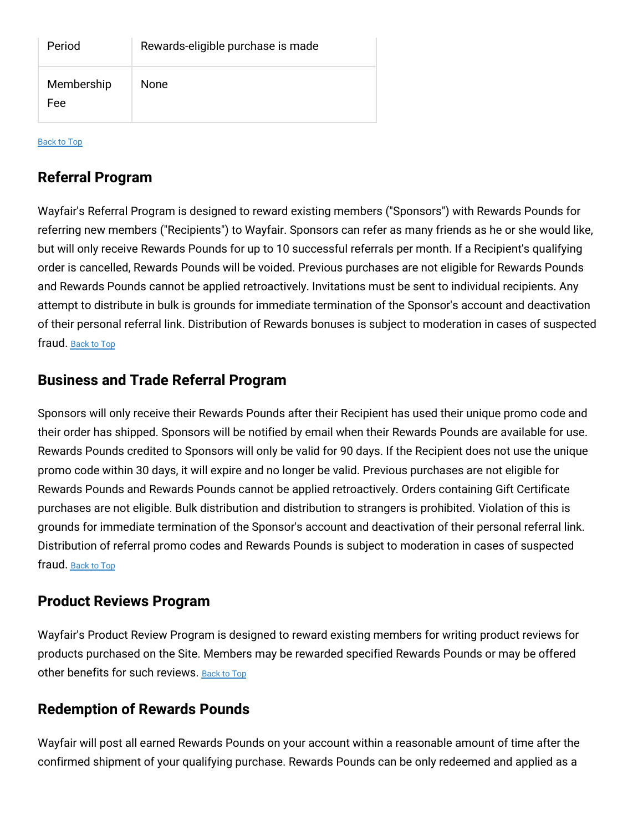| Period            | Rewards-eligible purchase is made |
|-------------------|-----------------------------------|
| Membership<br>Fee | <b>None</b>                       |

[Back](#top) to Top

## **Referral Program**

Wayfair's Referral Program is designed to reward existing members ("Sponsors") with Rewards Pounds for referring new members ("Recipients") to Wayfair. Sponsors can refer as many friends as he or she would like, but will only receive Rewards Pounds for up to 10 successful referrals per month. If a Recipient's qualifying order is cancelled, Rewards Pounds will be voided. Previous purchases are not eligible for Rewards Pounds and Rewards Pounds cannot be applied retroactively. Invitations must be sent to individual recipients. Any attempt to distribute in bulk is grounds for immediate termination of the Sponsor's account and deactivation of their personal referral link. Distribution of Rewards bonuses is subject to moderation in cases of suspected fraud. [Back](#top) to Top

### **Business and Trade Referral Program**

Sponsors will only receive their Rewards Pounds after their Recipient has used their unique promo code and their order has shipped. Sponsors will be notified by email when their Rewards Pounds are available for use. Rewards Pounds credited to Sponsors will only be valid for 90 days. If the Recipient does not use the unique promo code within 30 days, it will expire and no longer be valid. Previous purchases are not eligible for Rewards Pounds and Rewards Pounds cannot be applied retroactively. Orders containing Gift Certificate purchases are not eligible. Bulk distribution and distribution to strangers is prohibited. Violation of this is grounds for immediate termination of the Sponsor's account and deactivation of their personal referral link. Distribution of referral promo codes and Rewards Pounds is subject to moderation in cases of suspected fraud. [Back](#top) to Top

### **Product Reviews Program**

Wayfair's Product Review Program is designed to reward existing members for writing product reviews for products purchased on the Site. Members may be rewarded specified Rewards Pounds or may be offered other benefits for such reviews. [Back](#top) to Top

### **Redemption of Rewards Pounds**

Wayfair will post all earned Rewards Pounds on your account within a reasonable amount of time after the confirmed shipment of your qualifying purchase. Rewards Pounds can be only redeemed and applied as a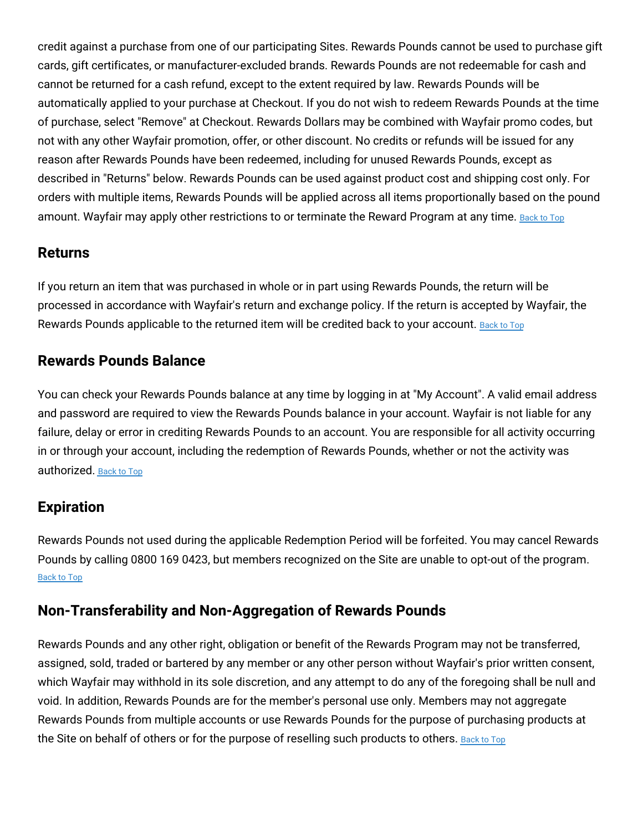credit against a purchase from one of our participating Sites. Rewards Pounds cannot be used to purchase gift cards, gift certificates, or manufacturer-excluded brands. Rewards Pounds are not redeemable for cash and cannot be returned for a cash refund, except to the extent required by law. Rewards Pounds will be automatically applied to your purchase at Checkout. If you do not wish to redeem Rewards Pounds at the time of purchase, select "Remove" at Checkout. Rewards Dollars may be combined with Wayfair promo codes, but not with any other Wayfair promotion, offer, or other discount. No credits or refunds will be issued for any reason after Rewards Pounds have been redeemed, including for unused Rewards Pounds, except as described in "Returns" below. Rewards Pounds can be used against product cost and shipping cost only. For orders with multiple items, Rewards Pounds will be applied across all items proportionally based on the pound amount. Wayfair may apply other restrictions to or terminate the Reward Program at any time. [Back](#top) to Top

### **Returns**

If you return an item that was purchased in whole or in part using Rewards Pounds, the return will be processed in accordance with Wayfair's return and exchange policy. If the return is accepted by Wayfair, the Rewards Pounds applicable to the returned item will be credited back to your account. [Back](#top) to Top

## **Rewards Pounds Balance**

You can check your Rewards Pounds balance at any time by logging in at "My Account". A valid email address and password are required to view the Rewards Pounds balance in your account. Wayfair is not liable for any failure, delay or error in crediting Rewards Pounds to an account. You are responsible for all activity occurring in or through your account, including the redemption of Rewards Pounds, whether or not the activity was authorized. [Back](#top) to Top

# **Expiration**

Rewards Pounds not used during the applicable Redemption Period will be forfeited. You may cancel Rewards Pounds by calling 0800 169 0423, but members recognized on the Site are unable to opt-out of the program. [Back](#top) to Top

# **Non-Transferability and Non-Aggregation of Rewards Pounds**

Rewards Pounds and any other right, obligation or benefit of the Rewards Program may not be transferred, assigned, sold, traded or bartered by any member or any other person without Wayfair's prior written consent, which Wayfair may withhold in its sole discretion, and any attempt to do any of the foregoing shall be null and void. In addition, Rewards Pounds are for the member's personal use only. Members may not aggregate Rewards Pounds from multiple accounts or use Rewards Pounds for the purpose of purchasing products at the Site on behalf of others or for the purpose of reselling such products to others. [Back](#top) to Top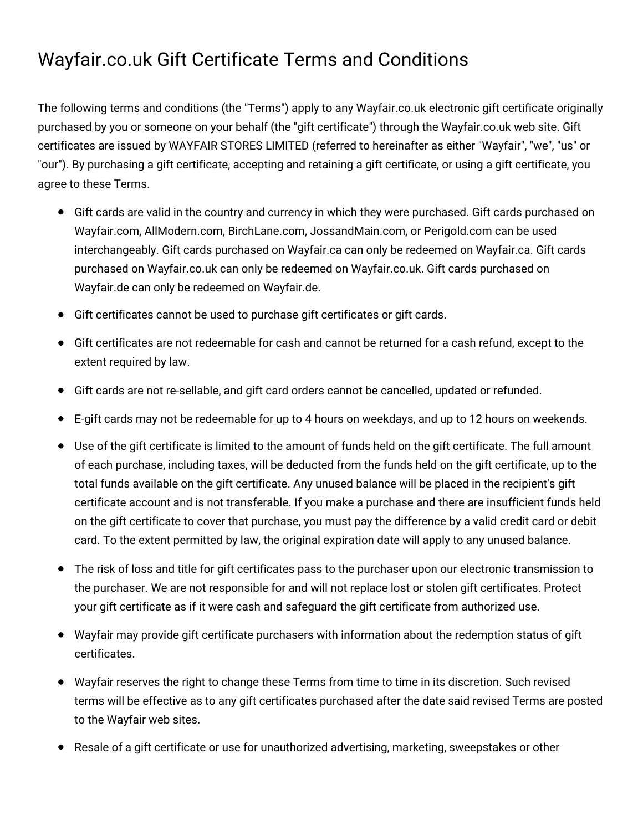# Wayfair.co.uk Gift Certificate Terms and Conditions

The following terms and conditions (the "Terms") apply to any Wayfair.co.uk electronic gift certificate originally purchased by you or someone on your behalf (the "gift certificate") through the Wayfair.co.uk web site. Gift certificates are issued by WAYFAIR STORES LIMITED (referred to hereinafter as either "Wayfair", "we", "us" or "our"). By purchasing a gift certificate, accepting and retaining a gift certificate, or using a gift certificate, you agree to these Terms.

- Gift cards are valid in the country and currency in which they were purchased. Gift cards purchased on Wayfair.com, AllModern.com, BirchLane.com, JossandMain.com, or Perigold.com can be used interchangeably. Gift cards purchased on Wayfair.ca can only be redeemed on Wayfair.ca. Gift cards purchased on Wayfair.co.uk can only be redeemed on Wayfair.co.uk. Gift cards purchased on Wayfair.de can only be redeemed on Wayfair.de.
- Gift certificates cannot be used to purchase gift certificates or gift cards.
- Gift certificates are not redeemable for cash and cannot be returned for a cash refund, except to the extent required by law.
- Gift cards are not re-sellable, and gift card orders cannot be cancelled, updated or refunded.
- E-gift cards may not be redeemable for up to 4 hours on weekdays, and up to 12 hours on weekends.
- Use of the gift certificate is limited to the amount of funds held on the gift certificate. The full amount of each purchase, including taxes, will be deducted from the funds held on the gift certificate, up to the total funds available on the gift certificate. Any unused balance will be placed in the recipient's gift certificate account and is not transferable. If you make a purchase and there are insufficient funds held on the gift certificate to cover that purchase, you must pay the difference by a valid credit card or debit card. To the extent permitted by law, the original expiration date will apply to any unused balance.
- The risk of loss and title for gift certificates pass to the purchaser upon our electronic transmission to the purchaser. We are not responsible for and will not replace lost or stolen gift certificates. Protect your gift certificate as if it were cash and safeguard the gift certificate from authorized use.
- Wayfair may provide gift certificate purchasers with information about the redemption status of gift certificates.
- Wayfair reserves the right to change these Terms from time to time in its discretion. Such revised terms will be effective as to any gift certificates purchased after the date said revised Terms are posted to the Wayfair web sites.
- Resale of a gift certificate or use for unauthorized advertising, marketing, sweepstakes or other